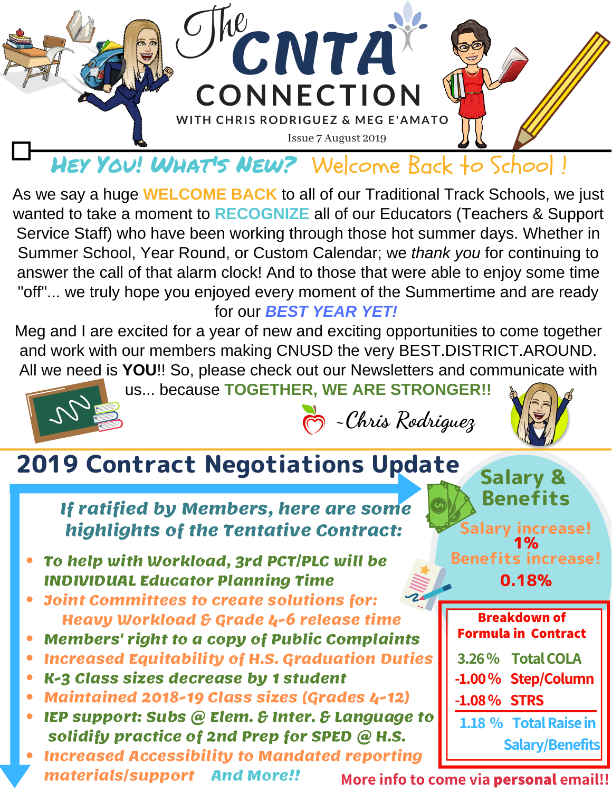

HEY YOU! WHAT's NEW? Welcome Back to School!

As we say a huge **WELCOME BACK** to all of our Traditional Track Schools, we just wanted to take a moment to **RECOGNIZE** all of our Educators (Teachers & Support Service Staff) who have been working through those hot summer days. Whether in Summer School, Year Round, or Custom Calendar; we *thank you* for continuing to answer the call of that alarm clock! And to those that were able to enjoy some time "off"... we truly hope you enjoyed every moment of the Summertime and are ready for our *BEST YEAR YET!*

Meg and I are excited for a year of new and exciting opportunities to come together and work with our members making CNUSD the very BEST.DISTRICT.AROUND. All we need is **YOU**!! So, please check out our Newsletters and communicate with

us... because **TOGETHER, WE ARE STRONGER!!**



**~Chris Rodriguez**



## 2019 Contract Negotiations Update

**If ratified by Members, here are some highlights of the Tentative Contract:**

- **To help with Workload, 3rd PCT/PLC will be INDIVIDUAL Educator Planning Time**
- **Joint Committees to create solutions for: Heavy Workload & Grade 4-6 release time**
- **Members' right to a copy of Public Complaints**
- **Increased Equitability of H.S. Graduation Duties**  $\bullet$
- **K-3 Class sizes decrease by 1 student**
- **Maintained 2018-19 Class sizes (Grades 4-12)**
- **IEP support: Subs @ Elem. & Inter. & Language to**  $\bullet$ **solidify practice of 2nd Prep for SPED @ H.S.**
- **Increased Accessibility to Mandated reporting materials/support And More!!**

Salary & Benefits Salary increase! 1% Benefits increase!

0.18%

| <b>Breakdown of</b><br><b>Formula in Contract</b> |                       |
|---------------------------------------------------|-----------------------|
|                                                   | 3.26% Total COLA      |
|                                                   | -1.00% Step/Column    |
| $-1.08\%$ STRS                                    |                       |
|                                                   | 1.18 % Total Raise in |
| <b>Salary/Benefits</b>                            |                       |

**More info to come via personal email!!**